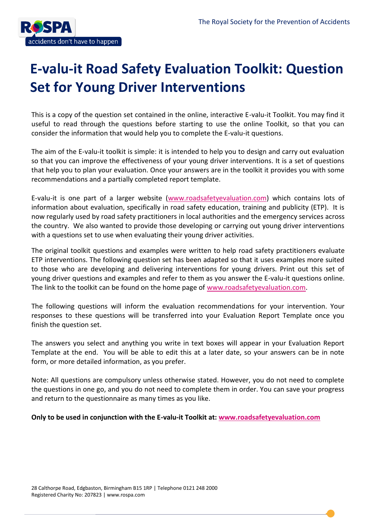

This is a copy of the question set contained in the online, interactive E-valu-it Toolkit. You may find it useful to read through the questions before starting to use the online Toolkit, so that you can consider the information that would help you to complete the E-valu-it questions.

The aim of the E-valu-it toolkit is simple: it is intended to help you to design and carry out evaluation so that you can improve the effectiveness of your young driver interventions. It is a set of questions that help you to plan your evaluation. Once your answers are in the toolkit it provides you with some recommendations and a partially completed report template.

E-valu-it is one part of a larger website [\(www.roadsafetyevaluation.com\)](http://www.roadsafetyevaluation.com/) which contains lots of information about evaluation, specifically in road safety education, training and publicity (ETP). It is now regularly used by road safety practitioners in local authorities and the emergency services across the country. We also wanted to provide those developing or carrying out young driver interventions with a questions set to use when evaluating their young driver activities.

The original toolkit questions and examples were written to help road safety practitioners evaluate ETP interventions. The following question set has been adapted so that it uses examples more suited to those who are developing and delivering interventions for young drivers. Print out this set of young driver questions and examples and refer to them as you answer the E-valu-it questions online. The link to the toolkit can be found on the home page of [www.roadsafetyevaluation.com.](http://www.roadsafetyevaluation.com/)

The following questions will inform the evaluation recommendations for your intervention. Your responses to these questions will be transferred into your Evaluation Report Template once you finish the question set.

The answers you select and anything you write in text boxes will appear in your Evaluation Report Template at the end. You will be able to edit this at a later date, so your answers can be in note form, or more detailed information, as you prefer.

Note: All questions are compulsory unless otherwise stated. However, you do not need to complete the questions in one go, and you do not need to complete them in order. You can save your progress and return to the questionnaire as many times as you like.

## **Only to be used in conjunction with the E-valu-it Toolkit at: [www.roadsafetyevaluation.com](http://www.roadsafetyevaluation.com/)**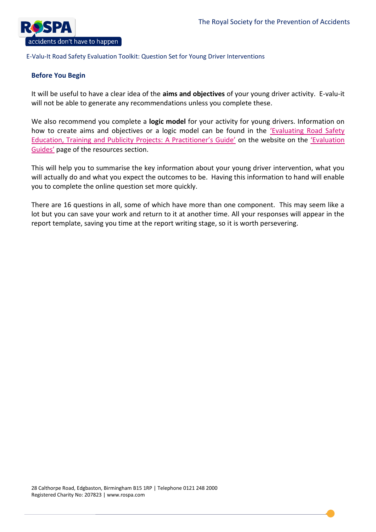

## **Before You Begin**

It will be useful to have a clear idea of the **aims and objectives** of your young driver activity. E-valu-it will not be able to generate any recommendations unless you complete these.

We also recommend you complete a **logic model** for your activity for young drivers. Information on how to create aims and objectives or a logic model can be found in the '[Evaluating Road Safety](http://www.roadsafetyevaluation.com/docs/practitioner-evaluation-guide.pdf)  [Education, Training and Publicity Projects: A Practitioner's Guide'](http://www.roadsafetyevaluation.com/docs/practitioner-evaluation-guide.pdf) on the website on the ['Evaluation](http://www.roadsafetyevaluation.com/resources/evaluationguides)  [Guides'](http://www.roadsafetyevaluation.com/resources/evaluationguides) page of the resources section.

This will help you to summarise the key information about your young driver intervention, what you will actually do and what you expect the outcomes to be. Having this information to hand will enable you to complete the online question set more quickly.

There are 16 questions in all, some of which have more than one component. This may seem like a lot but you can save your work and return to it at another time. All your responses will appear in the report template, saving you time at the report writing stage, so it is worth persevering.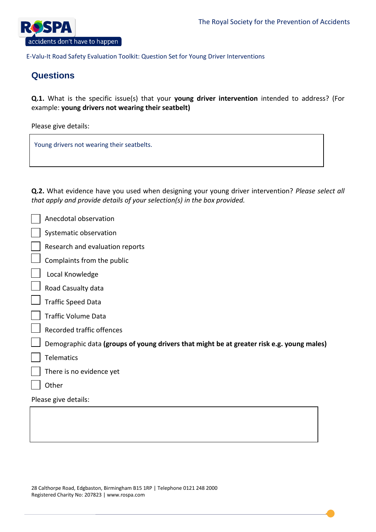

# **Questions**

**Q.1.** What is the specific issue(s) that your **young driver intervention** intended to address? (For example: **young drivers not wearing their seatbelt)**

Please give details:

Young drivers not wearing their seatbelts.

**Q.2.** What evidence have you used when designing your young driver intervention? *Please select all that apply and provide details of your selection(s) in the box provided.* 

|                      | Anecdotal observation                                                                     |  |
|----------------------|-------------------------------------------------------------------------------------------|--|
|                      | Systematic observation                                                                    |  |
|                      | Research and evaluation reports                                                           |  |
|                      | Complaints from the public                                                                |  |
|                      | Local Knowledge                                                                           |  |
|                      | Road Casualty data                                                                        |  |
|                      | <b>Traffic Speed Data</b>                                                                 |  |
|                      | <b>Traffic Volume Data</b>                                                                |  |
|                      | Recorded traffic offences                                                                 |  |
|                      | Demographic data (groups of young drivers that might be at greater risk e.g. young males) |  |
|                      | <b>Telematics</b>                                                                         |  |
|                      | There is no evidence yet                                                                  |  |
|                      | Other                                                                                     |  |
| Please give details: |                                                                                           |  |
|                      |                                                                                           |  |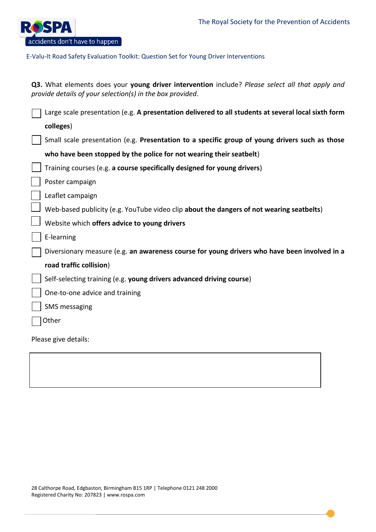

| Q3. What elements does your young driver intervention include? Please select all that apply and<br>provide details of your selection(s) in the box provided. |  |  |  |
|--------------------------------------------------------------------------------------------------------------------------------------------------------------|--|--|--|
| Large scale presentation (e.g. A presentation delivered to all students at several local sixth form                                                          |  |  |  |
| colleges)                                                                                                                                                    |  |  |  |
| Small scale presentation (e.g. Presentation to a specific group of young drivers such as those                                                               |  |  |  |
| who have been stopped by the police for not wearing their seatbelt)                                                                                          |  |  |  |
| Training courses (e.g. a course specifically designed for young drivers)                                                                                     |  |  |  |
| Poster campaign                                                                                                                                              |  |  |  |
| Leaflet campaign                                                                                                                                             |  |  |  |
| Web-based publicity (e.g. YouTube video clip about the dangers of not wearing seatbelts)                                                                     |  |  |  |
| Website which offers advice to young drivers                                                                                                                 |  |  |  |
| E-learning                                                                                                                                                   |  |  |  |
| Diversionary measure (e.g. an awareness course for young drivers who have been involved in a                                                                 |  |  |  |
| road traffic collision)                                                                                                                                      |  |  |  |
| Self-selecting training (e.g. young drivers advanced driving course)                                                                                         |  |  |  |
| One-to-one advice and training                                                                                                                               |  |  |  |
| <b>SMS</b> messaging                                                                                                                                         |  |  |  |
| Other                                                                                                                                                        |  |  |  |
| Please give details:                                                                                                                                         |  |  |  |
|                                                                                                                                                              |  |  |  |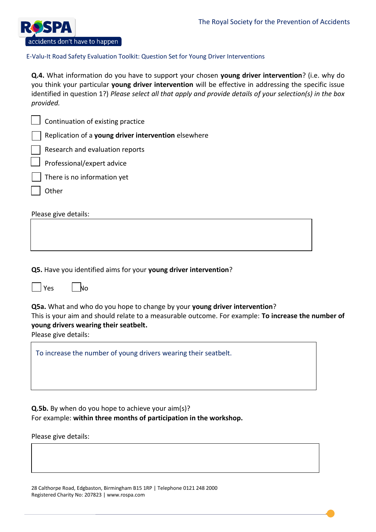

**Q.4.** What information do you have to support your chosen **young driver intervention**? (i.e. why do you think your particular **young driver intervention** will be effective in addressing the specific issue identified in question 1?) *Please select all that apply and provide details of your selection(s) in the box provided.*

| Continuation of existing practice                                                                                                                                                                                                                 |  |  |  |  |
|---------------------------------------------------------------------------------------------------------------------------------------------------------------------------------------------------------------------------------------------------|--|--|--|--|
| Replication of a young driver intervention elsewhere                                                                                                                                                                                              |  |  |  |  |
| Research and evaluation reports                                                                                                                                                                                                                   |  |  |  |  |
| Professional/expert advice                                                                                                                                                                                                                        |  |  |  |  |
| There is no information yet                                                                                                                                                                                                                       |  |  |  |  |
| Other                                                                                                                                                                                                                                             |  |  |  |  |
| Please give details:                                                                                                                                                                                                                              |  |  |  |  |
| Q5. Have you identified aims for your young driver intervention?                                                                                                                                                                                  |  |  |  |  |
| Yes<br>No                                                                                                                                                                                                                                         |  |  |  |  |
| Q5a. What and who do you hope to change by your young driver intervention?<br>This is your aim and should relate to a measurable outcome. For example: To increase the number of<br>young drivers wearing their seatbelt.<br>Please give details: |  |  |  |  |
| To increase the number of young drivers wearing their seatbelt.                                                                                                                                                                                   |  |  |  |  |

**Q.5b.** By when do you hope to achieve your aim(s)? For example: **within three months of participation in the workshop.** 

Please give details: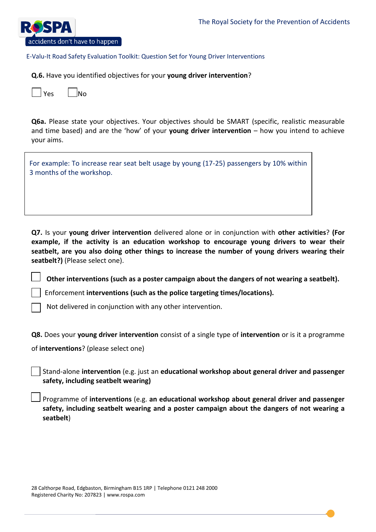

**Q.6.** Have you identified objectives for your **young driver intervention**?

|  | lNo |
|--|-----|
|--|-----|

**Q6a.** Please state your objectives. Your objectives should be SMART (specific, realistic measurable and time based) and are the 'how' of your **young driver intervention** – how you intend to achieve your aims.

For example: To increase rear seat belt usage by young (17-25) passengers by 10% within 3 months of the workshop.

**Q7.** Is your **young driver intervention** delivered alone or in conjunction with **other activities**? **(For example, if the activity is an education workshop to encourage young drivers to wear their seatbelt, are you also doing other things to increase the number of young drivers wearing their seatbelt?)** (Please select one).

**Other interventions (such as a poster campaign about the dangers of not wearing a seatbelt).**

Enforcement **interventions (such as the police targeting times/locations).**

Not delivered in conjunction with any other intervention.

**Q8.** Does your **young driver intervention** consist of a single type of **intervention** or is it a programme

of **interventions**? (please select one)

Stand-alone **intervention** (e.g. just an **educational workshop about general driver and passenger safety, including seatbelt wearing)**

Programme of **interventions** (e.g. **an educational workshop about general driver and passenger safety, including seatbelt wearing and a poster campaign about the dangers of not wearing a seatbelt**)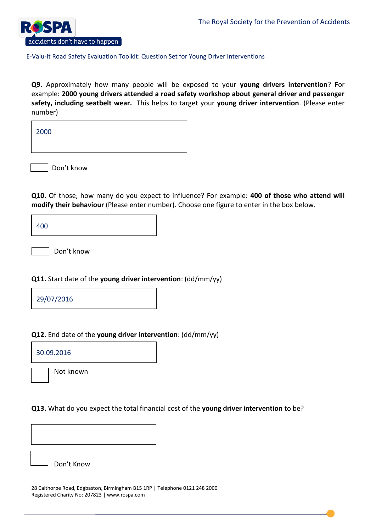

**Q9.** Approximately how many people will be exposed to your **young drivers intervention**? For example: **2000 young drivers attended a road safety workshop about general driver and passenger safety, including seatbelt wear.** This helps to target your **young driver intervention**. (Please enter number)

2000

Don't know

Don't Know

**Q10.** Of those, how many do you expect to influence? For example: **400 of those who attend will modify their behaviour** (Please enter number). Choose one figure to enter in the box below.

400

Don't know

## **Q11.** Start date of the **young driver intervention**: (dd/mm/yy)

29/07/2016

## **Q12.** End date of the **young driver intervention**: (dd/mm/yy)

30.09.2016

Not known

**Q13.** What do you expect the total financial cost of the **young driver intervention** to be?

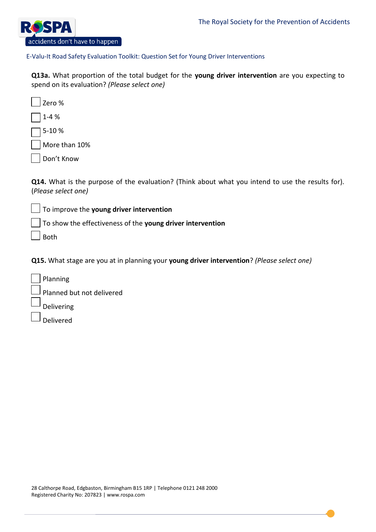

**Q13a.** What proportion of the total budget for the **young driver intervention** are you expecting to spend on its evaluation? *(Please select one)*

Zero % 1-4 % 5-10 % More than 10%

Don't Know

**Q14.** What is the purpose of the evaluation? (Think about what you intend to use the results for). (*Please select one)*

To improve the **young driver intervention**

To show the effectiveness of the **young driver intervention**

Both

**Q15.** What stage are you at in planning your **young driver intervention**? *(Please select one)* 

Planning Planned but not delivered Delivering Delivered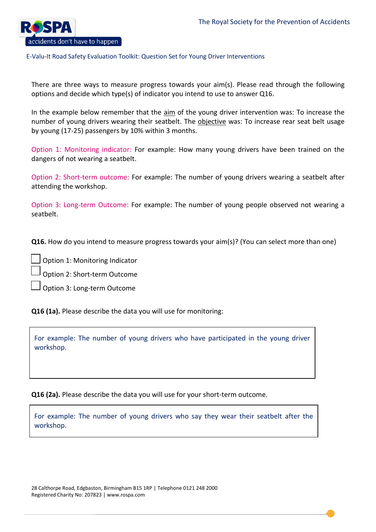

There are three ways to measure progress towards your aim(s). Please read through the following options and decide which type(s) of indicator you intend to use to answer Q16.

In the example below remember that the aim of the young driver intervention was: To increase the number of young drivers wearing their seatbelt. The objective was: To increase rear seat belt usage by young (17-25) passengers by 10% within 3 months.

Option 1: Monitoring indicator: For example: How many young drivers have been trained on the dangers of not wearing a seatbelt.

Option 2: Short-term outcome: For example: The number of young drivers wearing a seatbelt after attending the workshop.

Option 3: Long-term Outcome: For example: The number of young people observed not wearing a seatbelt.

**Q16.** How do you intend to measure progress towards your aim(s)? (You can select more than one)

Option 1: Monitoring Indicator

Option 2: Short-term Outcome

Option 3: Long-term Outcome

**Q16 (1a).** Please describe the data you will use for monitoring:

For example: The number of young drivers who have participated in the young driver workshop.

**Q16 (2a).** Please describe the data you will use for your short-term outcome.

For example: The number of young drivers who say they wear their seatbelt after the workshop.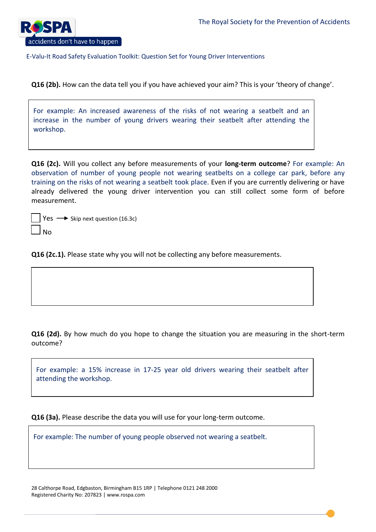

**Q16 (2b).** How can the data tell you if you have achieved your aim? This is your 'theory of change'.

For example: An increased awareness of the risks of not wearing a seatbelt and an increase in the number of young drivers wearing their seatbelt after attending the workshop.

**Q16 (2c).** Will you collect any before measurements of your **long-term outcome**? For example: An observation of number of young people not wearing seatbelts on a college car park, before any training on the risks of not wearing a seatbelt took place. Even if you are currently delivering or have already delivered the young driver intervention you can still collect some form of before measurement.

|                             | $\frac{1}{2}$ Yes $\longrightarrow$ Skip next question (16.3c) |
|-----------------------------|----------------------------------------------------------------|
| $\overline{\phantom{a}}$ No |                                                                |

**Q16 (2c.1).** Please state why you will not be collecting any before measurements.

**Q16 (2d).** By how much do you hope to change the situation you are measuring in the short-term outcome?

For example: a 15% increase in 17-25 year old drivers wearing their seatbelt after attending the workshop.

**Q16 (3a).** Please describe the data you will use for your long-term outcome.

For example: The number of young people observed not wearing a seatbelt.